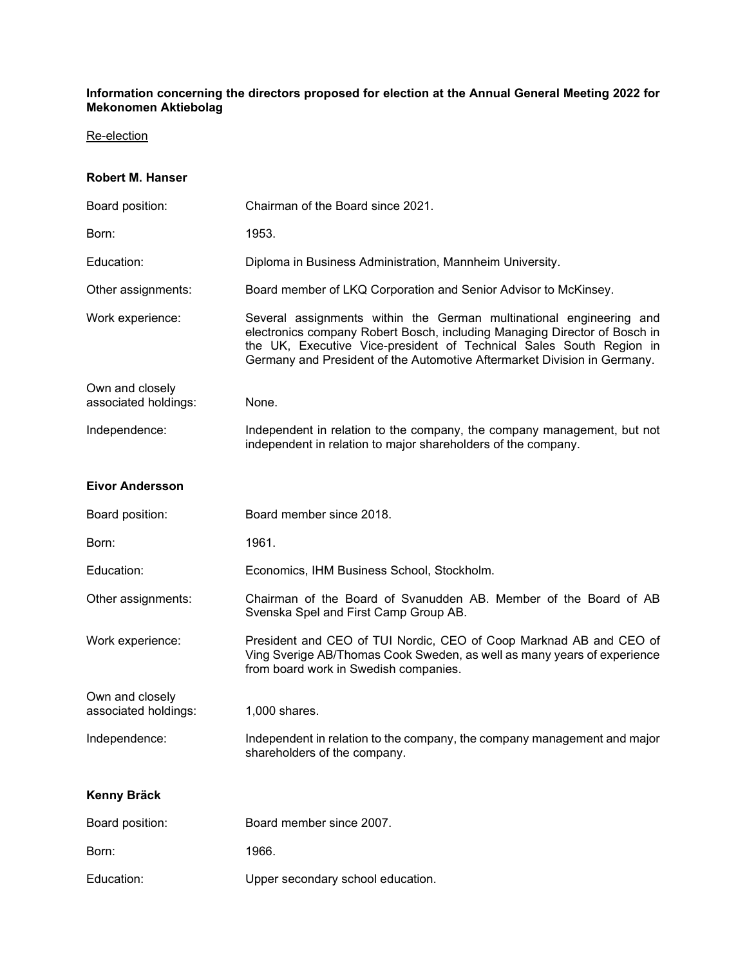#### **Information concerning the directors proposed for election at the Annual General Meeting 2022 for Mekonomen Aktiebolag**

### Re-election

#### **Robert M. Hanser**

| Board position:                         | Chairman of the Board since 2021.                                                                                                                                                                                                                                                                   |
|-----------------------------------------|-----------------------------------------------------------------------------------------------------------------------------------------------------------------------------------------------------------------------------------------------------------------------------------------------------|
| Born:                                   | 1953.                                                                                                                                                                                                                                                                                               |
| Education:                              | Diploma in Business Administration, Mannheim University.                                                                                                                                                                                                                                            |
| Other assignments:                      | Board member of LKQ Corporation and Senior Advisor to McKinsey.                                                                                                                                                                                                                                     |
| Work experience:                        | Several assignments within the German multinational engineering and<br>electronics company Robert Bosch, including Managing Director of Bosch in<br>the UK, Executive Vice-president of Technical Sales South Region in<br>Germany and President of the Automotive Aftermarket Division in Germany. |
| Own and closely<br>associated holdings: | None.                                                                                                                                                                                                                                                                                               |
| Independence:                           | Independent in relation to the company, the company management, but not<br>independent in relation to major shareholders of the company.                                                                                                                                                            |
| <b>Eivor Andersson</b>                  |                                                                                                                                                                                                                                                                                                     |
| Board position:                         | Board member since 2018.                                                                                                                                                                                                                                                                            |
| Born:                                   | 1961.                                                                                                                                                                                                                                                                                               |
| Education:                              | Economics, IHM Business School, Stockholm.                                                                                                                                                                                                                                                          |
| Other assignments:                      | Chairman of the Board of Svanudden AB. Member of the Board of AB<br>Svenska Spel and First Camp Group AB.                                                                                                                                                                                           |
| Work experience:                        | President and CEO of TUI Nordic, CEO of Coop Marknad AB and CEO of<br>Ving Sverige AB/Thomas Cook Sweden, as well as many years of experience<br>from board work in Swedish companies.                                                                                                              |
| Own and closely<br>associated holdings: | 1,000 shares.                                                                                                                                                                                                                                                                                       |
| Independence:                           | Independent in relation to the company, the company management and major<br>shareholders of the company.                                                                                                                                                                                            |
| Kenny Bräck                             |                                                                                                                                                                                                                                                                                                     |
| Board position:                         | Board member since 2007.                                                                                                                                                                                                                                                                            |
| Born:                                   | 1966.                                                                                                                                                                                                                                                                                               |
| Education:                              | Upper secondary school education.                                                                                                                                                                                                                                                                   |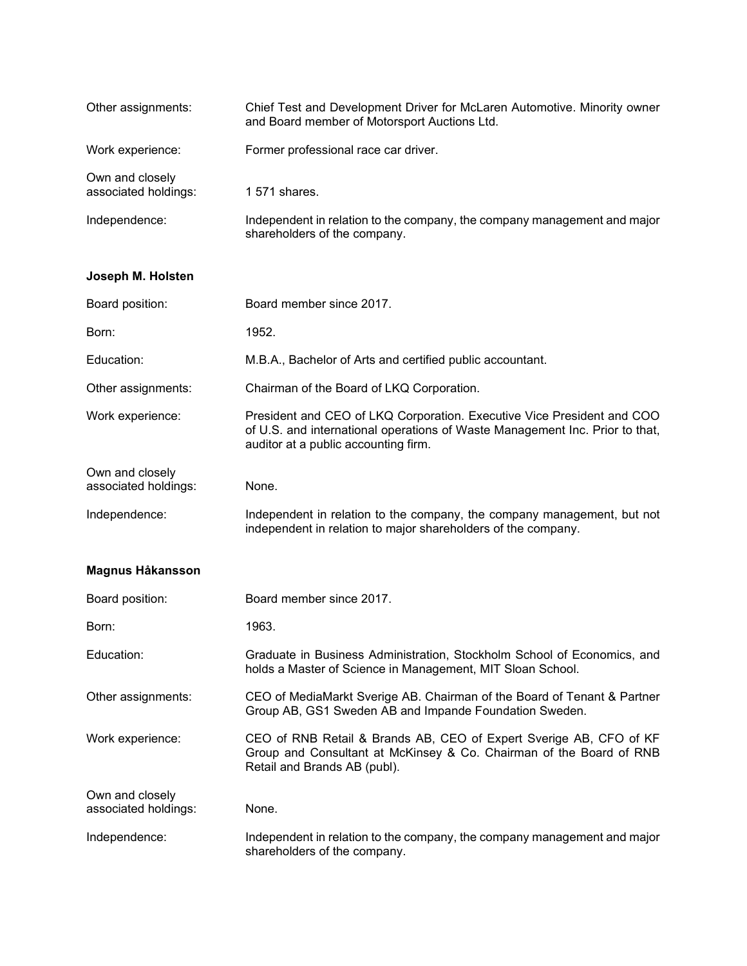| Other assignments:                      | Chief Test and Development Driver for McLaren Automotive. Minority owner<br>and Board member of Motorsport Auctions Ltd. |
|-----------------------------------------|--------------------------------------------------------------------------------------------------------------------------|
| Work experience:                        | Former professional race car driver.                                                                                     |
| Own and closely<br>associated holdings: | 1 571 shares.                                                                                                            |
| Independence:                           | Independent in relation to the company, the company management and major<br>shareholders of the company.                 |

# **Joseph M. Holsten**

| Board position:                         | Board member since 2017.                                                                                                                                                                       |
|-----------------------------------------|------------------------------------------------------------------------------------------------------------------------------------------------------------------------------------------------|
| Born:                                   | 1952.                                                                                                                                                                                          |
| Education:                              | M.B.A., Bachelor of Arts and certified public accountant.                                                                                                                                      |
| Other assignments:                      | Chairman of the Board of LKQ Corporation.                                                                                                                                                      |
| Work experience:                        | President and CEO of LKQ Corporation. Executive Vice President and COO<br>of U.S. and international operations of Waste Management Inc. Prior to that,<br>auditor at a public accounting firm. |
| Own and closely<br>associated holdings: | None.                                                                                                                                                                                          |
| Independence:                           | Independent in relation to the company, the company management, but not<br>independent in relation to major shareholders of the company.                                                       |

# **Magnus Håkansson**

| Board position:                         | Board member since 2017.                                                                                                                                                  |
|-----------------------------------------|---------------------------------------------------------------------------------------------------------------------------------------------------------------------------|
| Born:                                   | 1963.                                                                                                                                                                     |
| Education:                              | Graduate in Business Administration, Stockholm School of Economics, and<br>holds a Master of Science in Management, MIT Sloan School.                                     |
| Other assignments:                      | CEO of MediaMarkt Sverige AB. Chairman of the Board of Tenant & Partner<br>Group AB, GS1 Sweden AB and Impande Foundation Sweden.                                         |
| Work experience:                        | CEO of RNB Retail & Brands AB, CEO of Expert Sverige AB, CFO of KF<br>Group and Consultant at McKinsey & Co. Chairman of the Board of RNB<br>Retail and Brands AB (publ). |
| Own and closely<br>associated holdings: | None.                                                                                                                                                                     |
| Independence:                           | Independent in relation to the company, the company management and major<br>shareholders of the company.                                                                  |